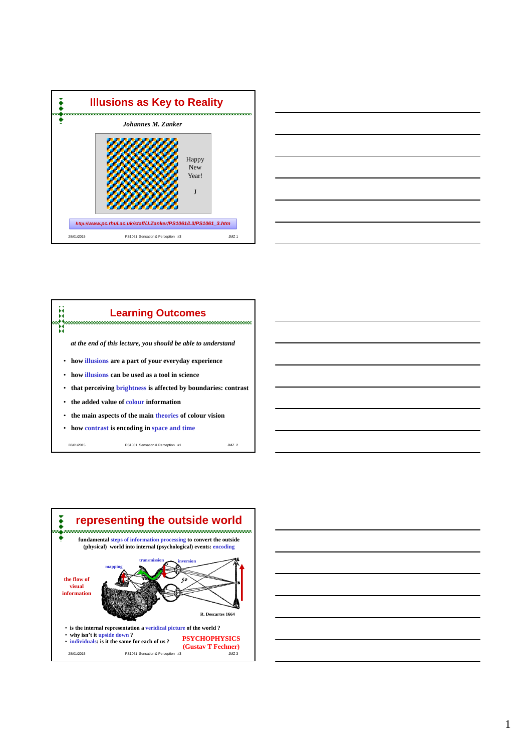







28/01/2015 PS1061 Sensation & Perception #1 JMZ 2



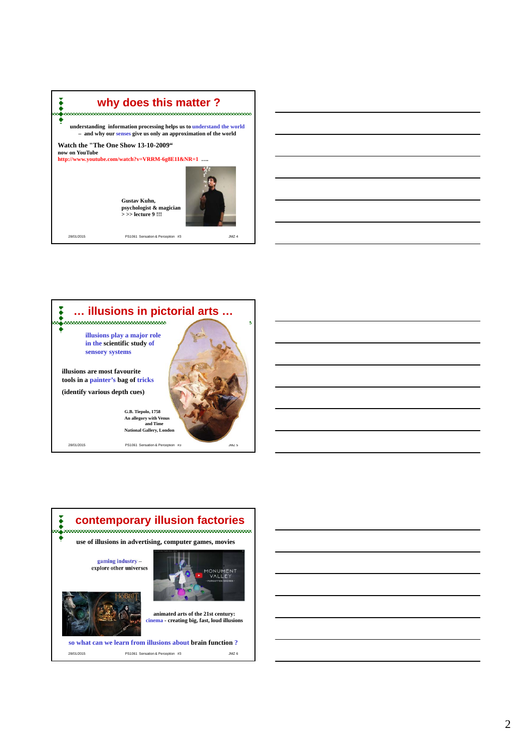

28/01/2015 PS1061 Sensation & Perception #3 JMZ 4



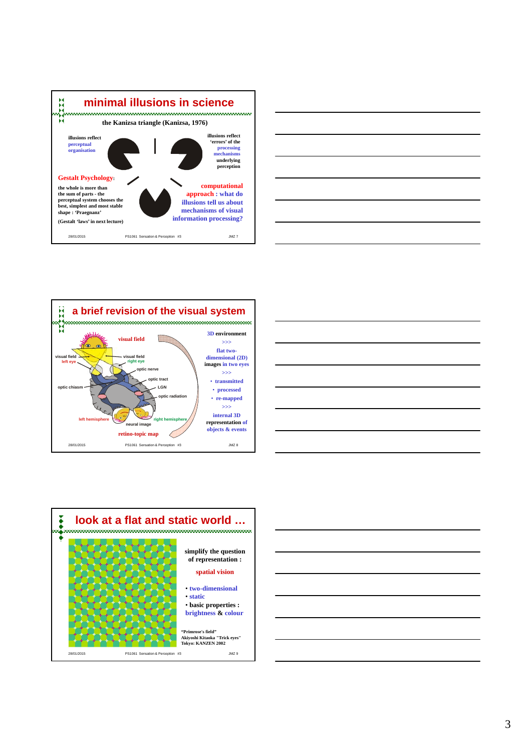









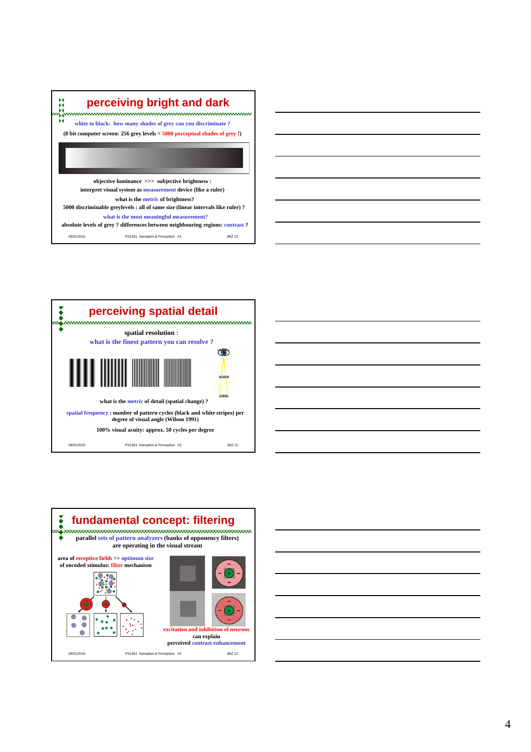

28/01/2015 PS1061 Sensation & Perception #3 JMZ 10 **what is the most meaningful measurement? absolute levels of grey ? differences between neighbouring regions: contrast ?**









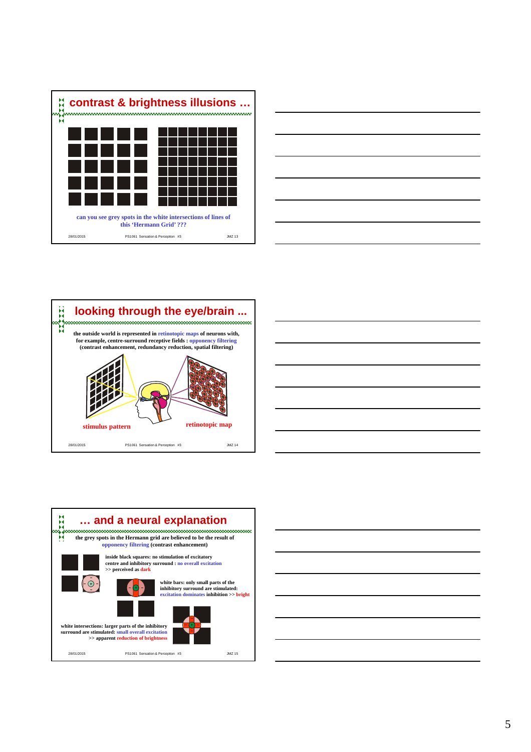









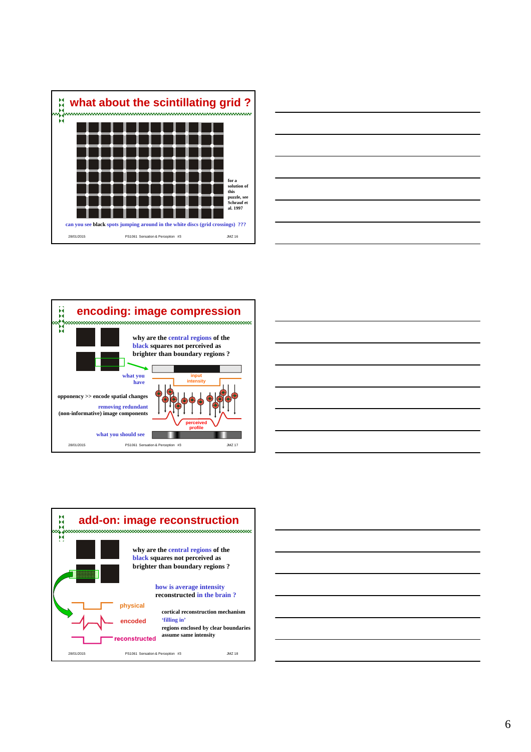









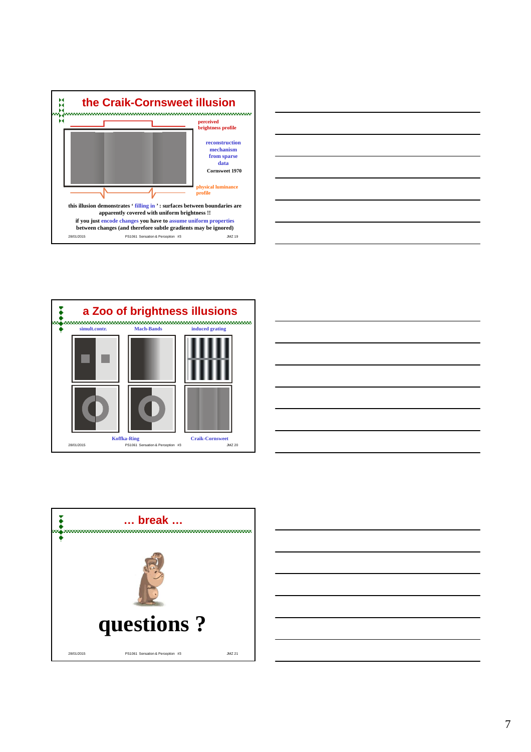









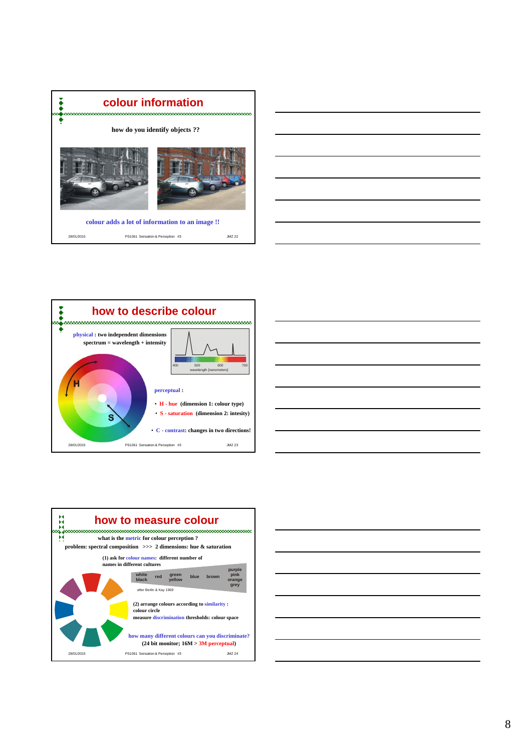









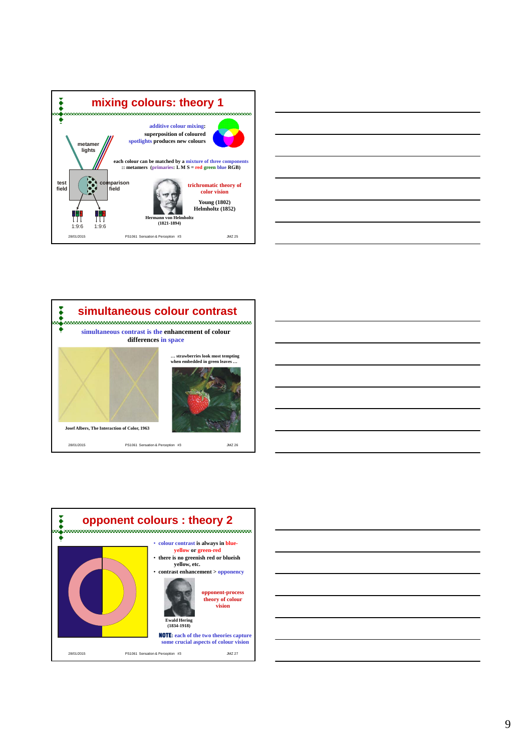









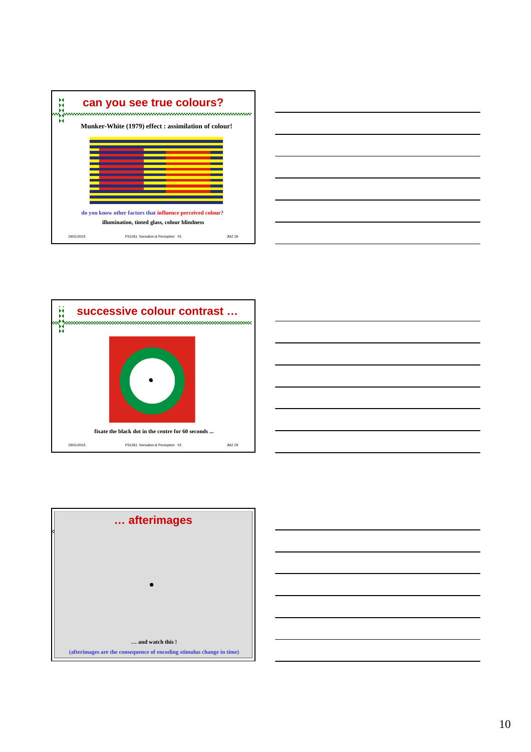







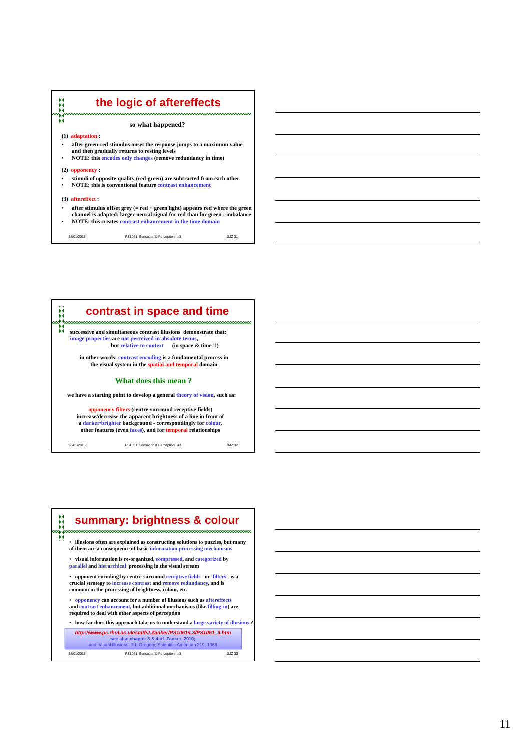## **the logic of aftereffects**<br> **the logic of aftereffects so what happened? (1) adaptation :**  • **after green-red stimulus onset the response jumps to a maximum value and then gradually returns to resting levels** • **NOTE: this encodes only changes (remove redundancy in time) (2) opponency :** • **stimuli of opposite quality (red-green) are subtracted from each other** • **NOTE: this is conventional feature contrast enhancement (3) aftereffect :** • **after stimulus offset grey (= red + green light) appears red where the green channel is adapted: larger neural signal for red than for green : imbalance** • **NOTE: this creates contrast enhancement in the time domain**

28/01/2015 PS1061 Sensation & Perception #3 JMZ 31

**contrast in space and time** ă **successive and simultaneous contrast illusions demonstrate that: image properties are not perceived in absolute terms, but relative to context** (in space & time !!) **in other words: contrast encoding is a fundamental process in the visual system in the spatial and temporal domain What does this mean ? we have a starting point to develop a general theory of vision, such as: opponency filters (centre-surround receptive fields) increase/decrease the apparent brightness of a line in front of a darker/brighter background - correspondingly for colour, other features (even faces), and for temporal relationships** 28/01/2015 PS1061 Sensation & Perception #3 JMZ 32

28/01/2015 PS1061 Sensation & Perception #3 JMZ 33 *http://www.pc.rhul.ac.uk/staff/J.Zanker/PS1061/L3/PS1061\_3.htm* **see also chapter 3 & 4 of Zanker 2010;**  and 'Visual Illusions' R.L.Gregory, Scientific American 219, 1968 • **how far does this approach take us to understand a large variety of illusions ?** • **illusions often are explained as constructing solutions to puzzles, but many of them are a consequence of basic information processing mechanisms** • **opponency can account for a number of illusions such as aftereffects and contrast enhancement, but additional mechanisms (like filling-in) are required to deal with other aspects of perception** • **opponent encoding by centre-surround receptive fields - or filters - is a crucial strategy to increase contrast and remove redundancy, and is common in the processing of brightness, colour, etc.**  • **visual information is re-organized, compressed, and categorized by parallel and hierarchical processing in the visual stream summary: brightness & colour**